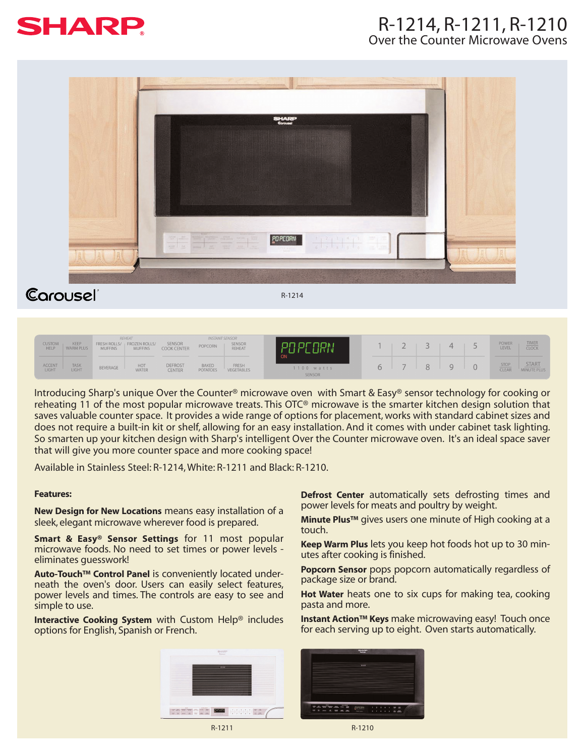

## R-1214, R-1211, R-1210 Over the Counter Microwave Ovens



Carousel

R-1214

| <b>CUSTOM</b><br><b>HELP</b> | KEEP<br><b>WARM PLUS</b> | <b>MUFFINS</b> | REHEAT<br>FRESH ROLLS/ FROZEN ROLLS/<br><b>MUFFINS</b> | SENSOR<br><b>COOK CENTER</b>    | POPCORN                         | <b>INSTANT SENSOR</b><br>SENSOR<br>REHEAT | I PC ORN                            | $\overline{\phantom{a}}$ | 4 | POWER <sub></sub><br>LEVEL | <b>TIMER</b><br>CLOCK |
|------------------------------|--------------------------|----------------|--------------------------------------------------------|---------------------------------|---------------------------------|-------------------------------------------|-------------------------------------|--------------------------|---|----------------------------|-----------------------|
| <b>ACCENT</b><br>LIGHT       | <b>TASK</b><br>LIGHT     | BEVERAGE       | HOT<br><b>WATER</b>                                    | <b>DEFROST</b><br><b>CENTER</b> | <b>BAKED</b><br><b>POTATOES</b> | FRESH<br>VEGETABLES                       | <b>ON</b><br>$1100$ watts<br>SENSOR | $\overline{\phantom{a}}$ |   | $rac{STOP}{ CLEAR}$        | START<br>MINUTE PLUS  |

Introducing Sharp's unique Over the Counter® microwave oven with Smart & Easy® sensor technology for cooking or reheating 11 of the most popular microwave treats. This OTC® microwave is the smarter kitchen design solution that saves valuable counter space. It provides a wide range of options for placement, works with standard cabinet sizes and does not require a built-in kit or shelf, allowing for an easy installation. And it comes with under cabinet task lighting. So smarten up your kitchen design with Sharp's intelligent Over the Counter microwave oven. It's an ideal space saver that will give you more counter space and more cooking space!

Available in Stainless Steel: R-1214, White: R-1211 and Black: R-1210.

## **Features:**

**New Design for New Locations** means easy installation of a sleek, elegant microwave wherever food is prepared.

**Smart & Easy® Sensor Settings** for 11 most popular microwave foods. No need to set times or power levels eliminates guesswork!

**Auto-Touch™ Control Panel** is conveniently located underneath the oven's door. Users can easily select features, power levels and times. The controls are easy to see and simple to use.

**Interactive Cooking System** with Custom Help® includes options for English, Spanish or French.

**Defrost Center** automatically sets defrosting times and power levels for meats and poultry by weight.

**Minute Plus™** gives users one minute of High cooking at a touch.

**Keep Warm Plus** lets you keep hot foods hot up to 30 minutes after cooking is finished.

**Popcorn Sensor** pops popcorn automatically regardless of package size or brand.

**Hot Water** heats one to six cups for making tea, cooking pasta and more.

**Instant Action™ Keys** make microwaving easy! Touch once for each serving up to eight. Oven starts automatically.